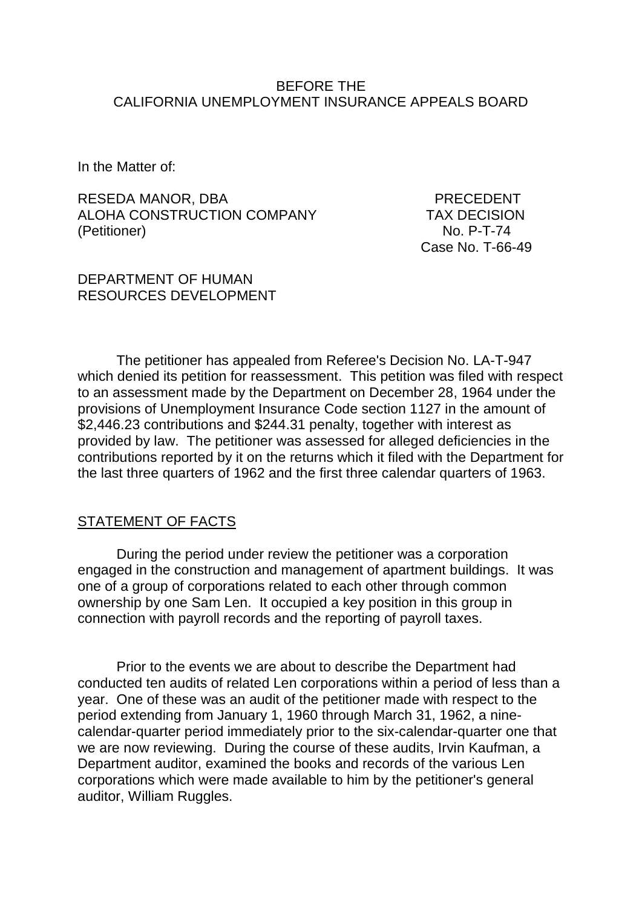#### BEFORE THE CALIFORNIA UNEMPLOYMENT INSURANCE APPEALS BOARD

In the Matter of:

RESEDA MANOR, DBA PRECEDENT ALOHA CONSTRUCTION COMPANY TAX DECISION (Petitioner) No. P-T-74

Case No. T-66-49

#### DEPARTMENT OF HUMAN RESOURCES DEVELOPMENT

The petitioner has appealed from Referee's Decision No. LA-T-947 which denied its petition for reassessment. This petition was filed with respect to an assessment made by the Department on December 28, 1964 under the provisions of Unemployment Insurance Code section 1127 in the amount of \$2,446.23 contributions and \$244.31 penalty, together with interest as provided by law. The petitioner was assessed for alleged deficiencies in the contributions reported by it on the returns which it filed with the Department for the last three quarters of 1962 and the first three calendar quarters of 1963.

### STATEMENT OF FACTS

During the period under review the petitioner was a corporation engaged in the construction and management of apartment buildings. It was one of a group of corporations related to each other through common ownership by one Sam Len. It occupied a key position in this group in connection with payroll records and the reporting of payroll taxes.

Prior to the events we are about to describe the Department had conducted ten audits of related Len corporations within a period of less than a year. One of these was an audit of the petitioner made with respect to the period extending from January 1, 1960 through March 31, 1962, a ninecalendar-quarter period immediately prior to the six-calendar-quarter one that we are now reviewing. During the course of these audits, Irvin Kaufman, a Department auditor, examined the books and records of the various Len corporations which were made available to him by the petitioner's general auditor, William Ruggles.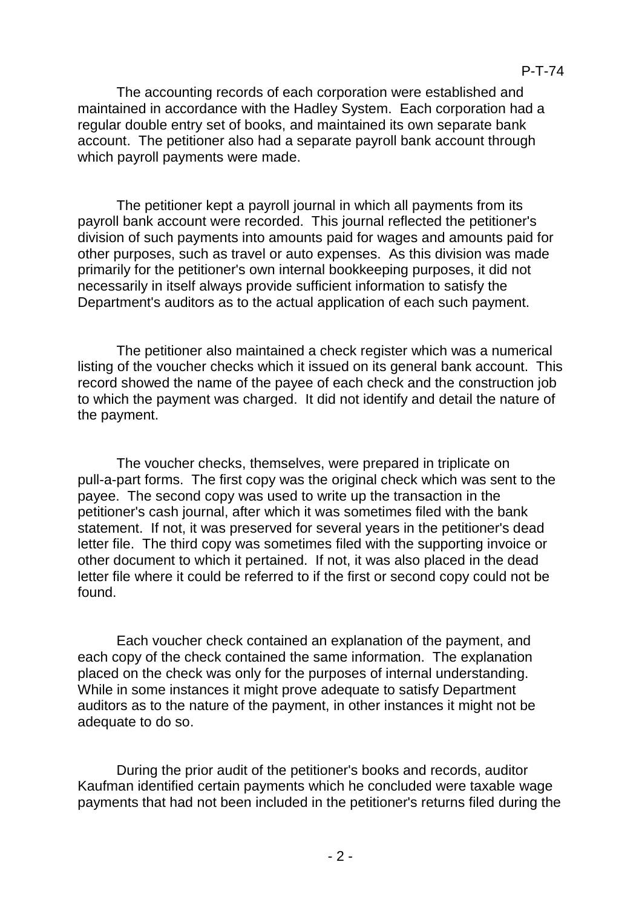maintained in accordance with the Hadley System. Each corporation had a regular double entry set of books, and maintained its own separate bank account. The petitioner also had a separate payroll bank account through which payroll payments were made.

The petitioner kept a payroll journal in which all payments from its payroll bank account were recorded. This journal reflected the petitioner's division of such payments into amounts paid for wages and amounts paid for other purposes, such as travel or auto expenses. As this division was made primarily for the petitioner's own internal bookkeeping purposes, it did not necessarily in itself always provide sufficient information to satisfy the Department's auditors as to the actual application of each such payment.

The petitioner also maintained a check register which was a numerical listing of the voucher checks which it issued on its general bank account. This record showed the name of the payee of each check and the construction job to which the payment was charged. It did not identify and detail the nature of the payment.

The voucher checks, themselves, were prepared in triplicate on pull-a-part forms. The first copy was the original check which was sent to the payee. The second copy was used to write up the transaction in the petitioner's cash journal, after which it was sometimes filed with the bank statement. If not, it was preserved for several years in the petitioner's dead letter file. The third copy was sometimes filed with the supporting invoice or other document to which it pertained. If not, it was also placed in the dead letter file where it could be referred to if the first or second copy could not be found.

Each voucher check contained an explanation of the payment, and each copy of the check contained the same information. The explanation placed on the check was only for the purposes of internal understanding. While in some instances it might prove adequate to satisfy Department auditors as to the nature of the payment, in other instances it might not be adequate to do so.

During the prior audit of the petitioner's books and records, auditor Kaufman identified certain payments which he concluded were taxable wage payments that had not been included in the petitioner's returns filed during the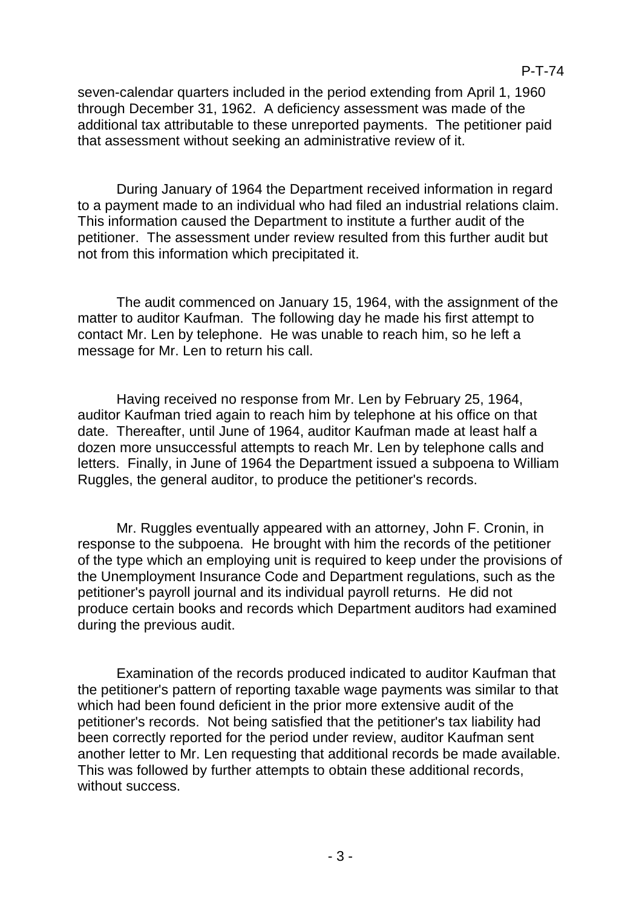seven-calendar quarters included in the period extending from April 1, 1960 through December 31, 1962. A deficiency assessment was made of the additional tax attributable to these unreported payments. The petitioner paid that assessment without seeking an administrative review of it.

During January of 1964 the Department received information in regard to a payment made to an individual who had filed an industrial relations claim. This information caused the Department to institute a further audit of the petitioner. The assessment under review resulted from this further audit but not from this information which precipitated it.

The audit commenced on January 15, 1964, with the assignment of the matter to auditor Kaufman. The following day he made his first attempt to contact Mr. Len by telephone. He was unable to reach him, so he left a message for Mr. Len to return his call.

Having received no response from Mr. Len by February 25, 1964, auditor Kaufman tried again to reach him by telephone at his office on that date. Thereafter, until June of 1964, auditor Kaufman made at least half a dozen more unsuccessful attempts to reach Mr. Len by telephone calls and letters. Finally, in June of 1964 the Department issued a subpoena to William Ruggles, the general auditor, to produce the petitioner's records.

Mr. Ruggles eventually appeared with an attorney, John F. Cronin, in response to the subpoena. He brought with him the records of the petitioner of the type which an employing unit is required to keep under the provisions of the Unemployment Insurance Code and Department regulations, such as the petitioner's payroll journal and its individual payroll returns. He did not produce certain books and records which Department auditors had examined during the previous audit.

Examination of the records produced indicated to auditor Kaufman that the petitioner's pattern of reporting taxable wage payments was similar to that which had been found deficient in the prior more extensive audit of the petitioner's records. Not being satisfied that the petitioner's tax liability had been correctly reported for the period under review, auditor Kaufman sent another letter to Mr. Len requesting that additional records be made available. This was followed by further attempts to obtain these additional records, without success.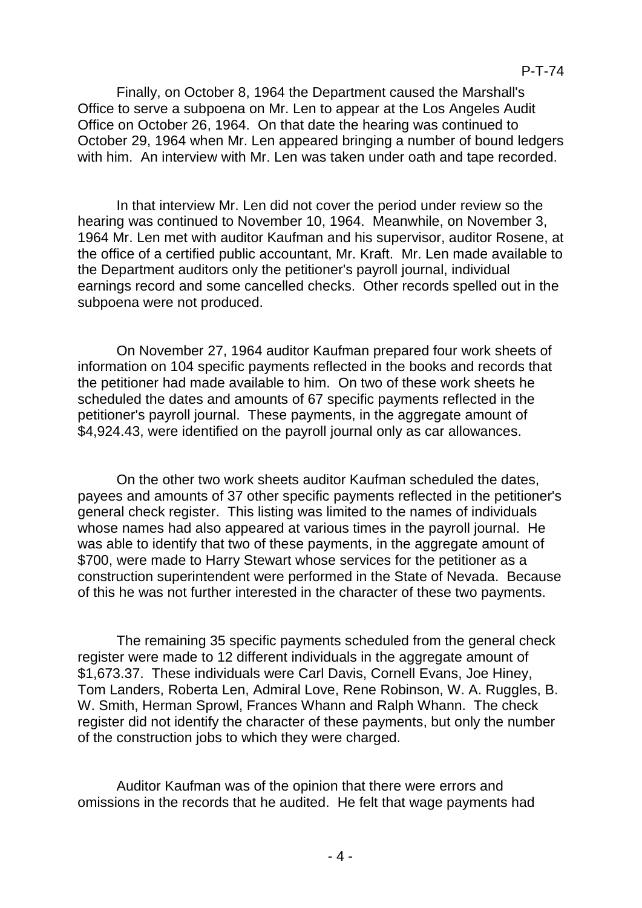Finally, on October 8, 1964 the Department caused the Marshall's Office to serve a subpoena on Mr. Len to appear at the Los Angeles Audit Office on October 26, 1964. On that date the hearing was continued to October 29, 1964 when Mr. Len appeared bringing a number of bound ledgers with him. An interview with Mr. Len was taken under oath and tape recorded.

In that interview Mr. Len did not cover the period under review so the hearing was continued to November 10, 1964. Meanwhile, on November 3, 1964 Mr. Len met with auditor Kaufman and his supervisor, auditor Rosene, at the office of a certified public accountant, Mr. Kraft. Mr. Len made available to the Department auditors only the petitioner's payroll journal, individual earnings record and some cancelled checks. Other records spelled out in the subpoena were not produced.

On November 27, 1964 auditor Kaufman prepared four work sheets of information on 104 specific payments reflected in the books and records that the petitioner had made available to him. On two of these work sheets he scheduled the dates and amounts of 67 specific payments reflected in the petitioner's payroll journal. These payments, in the aggregate amount of \$4,924.43, were identified on the payroll journal only as car allowances.

On the other two work sheets auditor Kaufman scheduled the dates, payees and amounts of 37 other specific payments reflected in the petitioner's general check register. This listing was limited to the names of individuals whose names had also appeared at various times in the payroll journal. He was able to identify that two of these payments, in the aggregate amount of \$700, were made to Harry Stewart whose services for the petitioner as a construction superintendent were performed in the State of Nevada. Because of this he was not further interested in the character of these two payments.

The remaining 35 specific payments scheduled from the general check register were made to 12 different individuals in the aggregate amount of \$1,673.37. These individuals were Carl Davis, Cornell Evans, Joe Hiney, Tom Landers, Roberta Len, Admiral Love, Rene Robinson, W. A. Ruggles, B. W. Smith, Herman Sprowl, Frances Whann and Ralph Whann. The check register did not identify the character of these payments, but only the number of the construction jobs to which they were charged.

Auditor Kaufman was of the opinion that there were errors and omissions in the records that he audited. He felt that wage payments had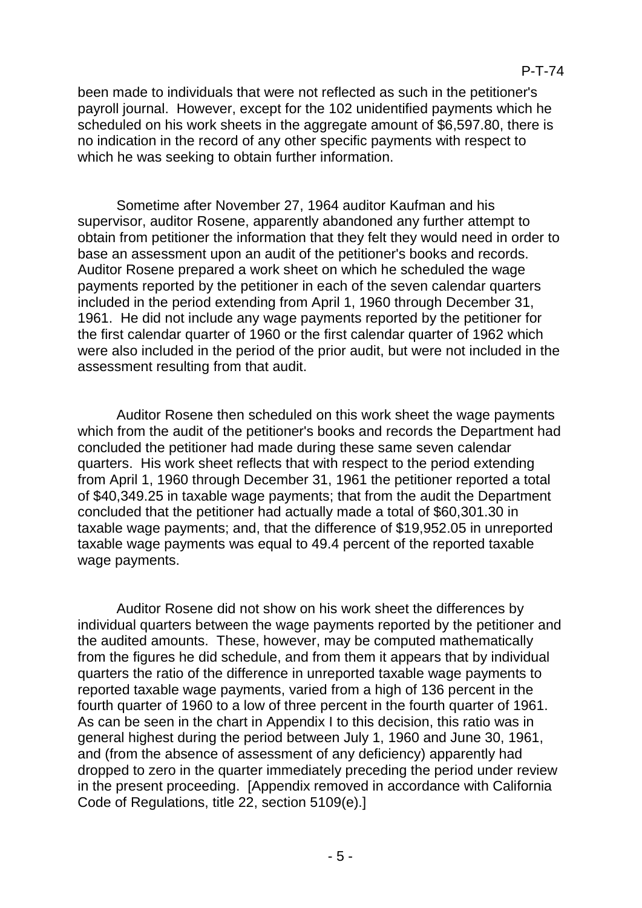been made to individuals that were not reflected as such in the petitioner's payroll journal. However, except for the 102 unidentified payments which he scheduled on his work sheets in the aggregate amount of \$6,597.80, there is no indication in the record of any other specific payments with respect to which he was seeking to obtain further information.

Sometime after November 27, 1964 auditor Kaufman and his supervisor, auditor Rosene, apparently abandoned any further attempt to obtain from petitioner the information that they felt they would need in order to base an assessment upon an audit of the petitioner's books and records. Auditor Rosene prepared a work sheet on which he scheduled the wage payments reported by the petitioner in each of the seven calendar quarters included in the period extending from April 1, 1960 through December 31, 1961. He did not include any wage payments reported by the petitioner for the first calendar quarter of 1960 or the first calendar quarter of 1962 which were also included in the period of the prior audit, but were not included in the assessment resulting from that audit.

Auditor Rosene then scheduled on this work sheet the wage payments which from the audit of the petitioner's books and records the Department had concluded the petitioner had made during these same seven calendar quarters. His work sheet reflects that with respect to the period extending from April 1, 1960 through December 31, 1961 the petitioner reported a total of \$40,349.25 in taxable wage payments; that from the audit the Department concluded that the petitioner had actually made a total of \$60,301.30 in taxable wage payments; and, that the difference of \$19,952.05 in unreported taxable wage payments was equal to 49.4 percent of the reported taxable wage payments.

Auditor Rosene did not show on his work sheet the differences by individual quarters between the wage payments reported by the petitioner and the audited amounts. These, however, may be computed mathematically from the figures he did schedule, and from them it appears that by individual quarters the ratio of the difference in unreported taxable wage payments to reported taxable wage payments, varied from a high of 136 percent in the fourth quarter of 1960 to a low of three percent in the fourth quarter of 1961. As can be seen in the chart in Appendix I to this decision, this ratio was in general highest during the period between July 1, 1960 and June 30, 1961, and (from the absence of assessment of any deficiency) apparently had dropped to zero in the quarter immediately preceding the period under review in the present proceeding. [Appendix removed in accordance with California Code of Regulations, title 22, section 5109(e).]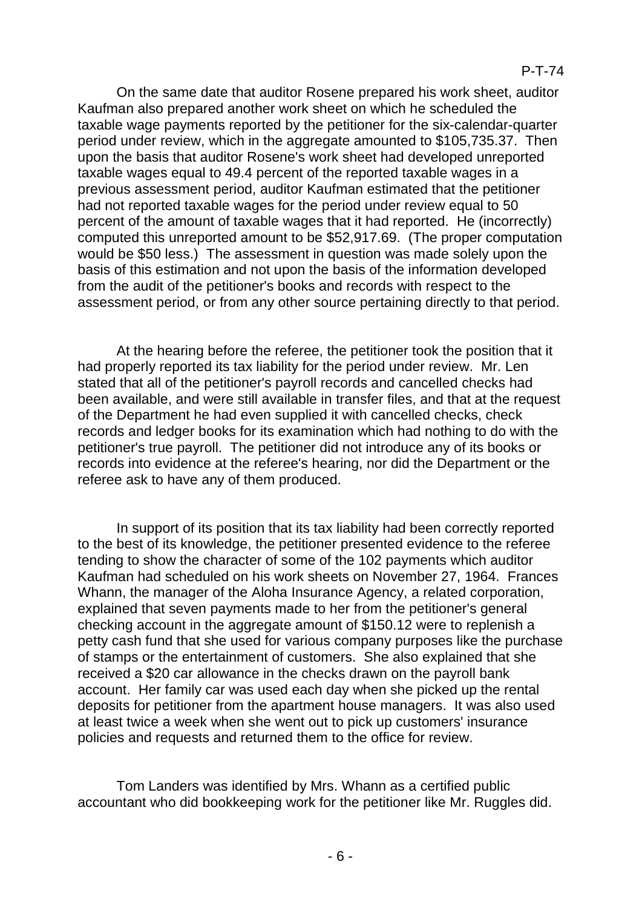On the same date that auditor Rosene prepared his work sheet, auditor Kaufman also prepared another work sheet on which he scheduled the taxable wage payments reported by the petitioner for the six-calendar-quarter period under review, which in the aggregate amounted to \$105,735.37. Then upon the basis that auditor Rosene's work sheet had developed unreported taxable wages equal to 49.4 percent of the reported taxable wages in a previous assessment period, auditor Kaufman estimated that the petitioner had not reported taxable wages for the period under review equal to 50 percent of the amount of taxable wages that it had reported. He (incorrectly) computed this unreported amount to be \$52,917.69. (The proper computation would be \$50 less.) The assessment in question was made solely upon the basis of this estimation and not upon the basis of the information developed from the audit of the petitioner's books and records with respect to the assessment period, or from any other source pertaining directly to that period.

At the hearing before the referee, the petitioner took the position that it had properly reported its tax liability for the period under review. Mr. Len stated that all of the petitioner's payroll records and cancelled checks had been available, and were still available in transfer files, and that at the request of the Department he had even supplied it with cancelled checks, check records and ledger books for its examination which had nothing to do with the petitioner's true payroll. The petitioner did not introduce any of its books or records into evidence at the referee's hearing, nor did the Department or the referee ask to have any of them produced.

In support of its position that its tax liability had been correctly reported to the best of its knowledge, the petitioner presented evidence to the referee tending to show the character of some of the 102 payments which auditor Kaufman had scheduled on his work sheets on November 27, 1964. Frances Whann, the manager of the Aloha Insurance Agency, a related corporation, explained that seven payments made to her from the petitioner's general checking account in the aggregate amount of \$150.12 were to replenish a petty cash fund that she used for various company purposes like the purchase of stamps or the entertainment of customers. She also explained that she received a \$20 car allowance in the checks drawn on the payroll bank account. Her family car was used each day when she picked up the rental deposits for petitioner from the apartment house managers. It was also used at least twice a week when she went out to pick up customers' insurance policies and requests and returned them to the office for review.

Tom Landers was identified by Mrs. Whann as a certified public accountant who did bookkeeping work for the petitioner like Mr. Ruggles did.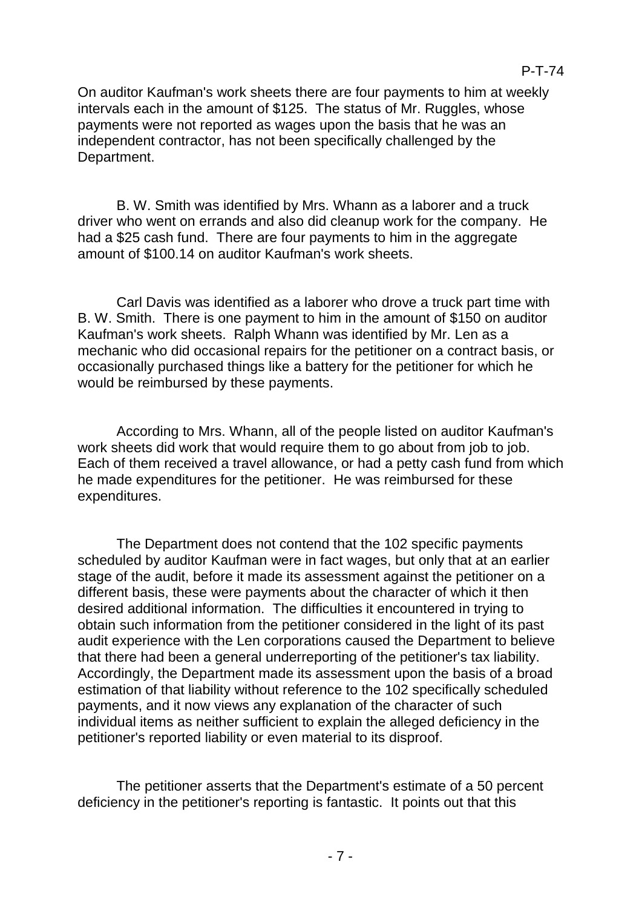On auditor Kaufman's work sheets there are four payments to him at weekly intervals each in the amount of \$125. The status of Mr. Ruggles, whose payments were not reported as wages upon the basis that he was an independent contractor, has not been specifically challenged by the Department.

B. W. Smith was identified by Mrs. Whann as a laborer and a truck driver who went on errands and also did cleanup work for the company. He had a \$25 cash fund. There are four payments to him in the aggregate amount of \$100.14 on auditor Kaufman's work sheets.

Carl Davis was identified as a laborer who drove a truck part time with B. W. Smith. There is one payment to him in the amount of \$150 on auditor Kaufman's work sheets. Ralph Whann was identified by Mr. Len as a mechanic who did occasional repairs for the petitioner on a contract basis, or occasionally purchased things like a battery for the petitioner for which he would be reimbursed by these payments.

According to Mrs. Whann, all of the people listed on auditor Kaufman's work sheets did work that would require them to go about from job to job. Each of them received a travel allowance, or had a petty cash fund from which he made expenditures for the petitioner. He was reimbursed for these expenditures.

The Department does not contend that the 102 specific payments scheduled by auditor Kaufman were in fact wages, but only that at an earlier stage of the audit, before it made its assessment against the petitioner on a different basis, these were payments about the character of which it then desired additional information. The difficulties it encountered in trying to obtain such information from the petitioner considered in the light of its past audit experience with the Len corporations caused the Department to believe that there had been a general underreporting of the petitioner's tax liability. Accordingly, the Department made its assessment upon the basis of a broad estimation of that liability without reference to the 102 specifically scheduled payments, and it now views any explanation of the character of such individual items as neither sufficient to explain the alleged deficiency in the petitioner's reported liability or even material to its disproof.

The petitioner asserts that the Department's estimate of a 50 percent deficiency in the petitioner's reporting is fantastic. It points out that this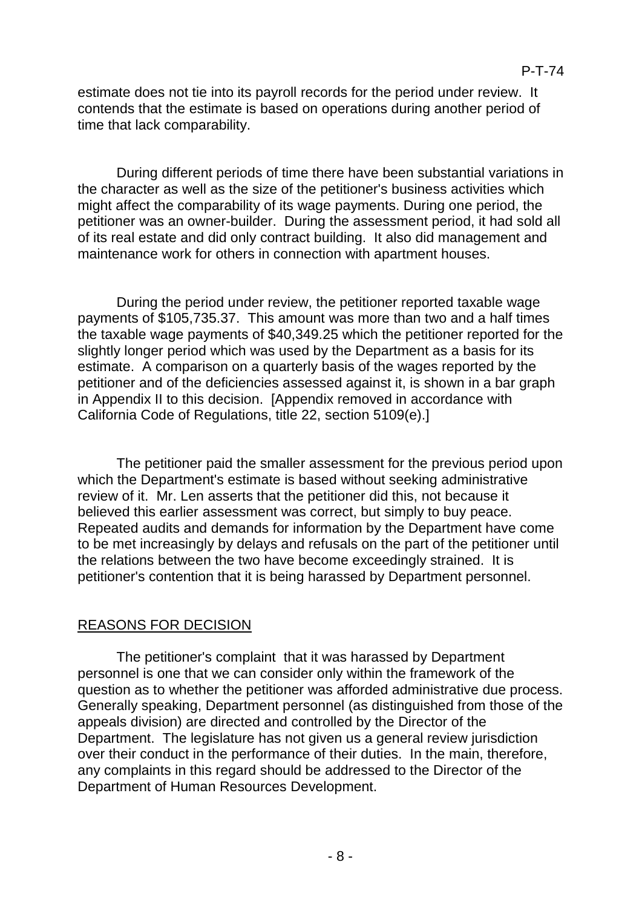estimate does not tie into its payroll records for the period under review. It contends that the estimate is based on operations during another period of time that lack comparability.

During different periods of time there have been substantial variations in the character as well as the size of the petitioner's business activities which might affect the comparability of its wage payments. During one period, the petitioner was an owner-builder. During the assessment period, it had sold all of its real estate and did only contract building. It also did management and maintenance work for others in connection with apartment houses.

During the period under review, the petitioner reported taxable wage payments of \$105,735.37. This amount was more than two and a half times the taxable wage payments of \$40,349.25 which the petitioner reported for the slightly longer period which was used by the Department as a basis for its estimate. A comparison on a quarterly basis of the wages reported by the petitioner and of the deficiencies assessed against it, is shown in a bar graph in Appendix II to this decision. [Appendix removed in accordance with California Code of Regulations, title 22, section 5109(e).]

The petitioner paid the smaller assessment for the previous period upon which the Department's estimate is based without seeking administrative review of it. Mr. Len asserts that the petitioner did this, not because it believed this earlier assessment was correct, but simply to buy peace. Repeated audits and demands for information by the Department have come to be met increasingly by delays and refusals on the part of the petitioner until the relations between the two have become exceedingly strained. It is petitioner's contention that it is being harassed by Department personnel.

# REASONS FOR DECISION

The petitioner's complaint that it was harassed by Department personnel is one that we can consider only within the framework of the question as to whether the petitioner was afforded administrative due process. Generally speaking, Department personnel (as distinguished from those of the appeals division) are directed and controlled by the Director of the Department. The legislature has not given us a general review jurisdiction over their conduct in the performance of their duties. In the main, therefore, any complaints in this regard should be addressed to the Director of the Department of Human Resources Development.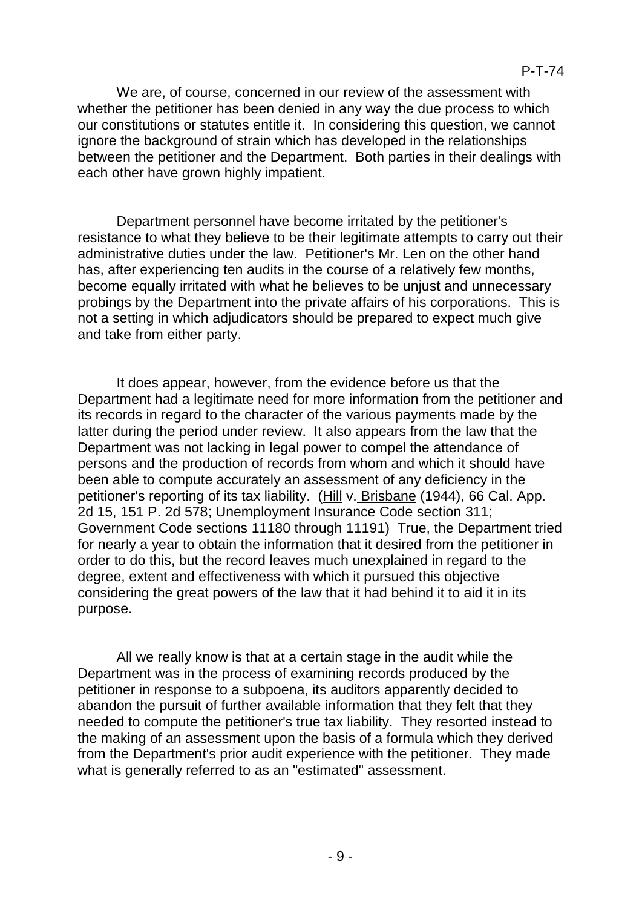We are, of course, concerned in our review of the assessment with whether the petitioner has been denied in any way the due process to which our constitutions or statutes entitle it. In considering this question, we cannot ignore the background of strain which has developed in the relationships between the petitioner and the Department. Both parties in their dealings with each other have grown highly impatient.

Department personnel have become irritated by the petitioner's resistance to what they believe to be their legitimate attempts to carry out their administrative duties under the law. Petitioner's Mr. Len on the other hand has, after experiencing ten audits in the course of a relatively few months, become equally irritated with what he believes to be unjust and unnecessary probings by the Department into the private affairs of his corporations. This is not a setting in which adjudicators should be prepared to expect much give and take from either party.

It does appear, however, from the evidence before us that the Department had a legitimate need for more information from the petitioner and its records in regard to the character of the various payments made by the latter during the period under review. It also appears from the law that the Department was not lacking in legal power to compel the attendance of persons and the production of records from whom and which it should have been able to compute accurately an assessment of any deficiency in the petitioner's reporting of its tax liability. (Hill v. Brisbane (1944), 66 Cal. App. 2d 15, 151 P. 2d 578; Unemployment Insurance Code section 311; Government Code sections 11180 through 11191) True, the Department tried for nearly a year to obtain the information that it desired from the petitioner in order to do this, but the record leaves much unexplained in regard to the degree, extent and effectiveness with which it pursued this objective considering the great powers of the law that it had behind it to aid it in its purpose.

All we really know is that at a certain stage in the audit while the Department was in the process of examining records produced by the petitioner in response to a subpoena, its auditors apparently decided to abandon the pursuit of further available information that they felt that they needed to compute the petitioner's true tax liability. They resorted instead to the making of an assessment upon the basis of a formula which they derived from the Department's prior audit experience with the petitioner. They made what is generally referred to as an "estimated" assessment.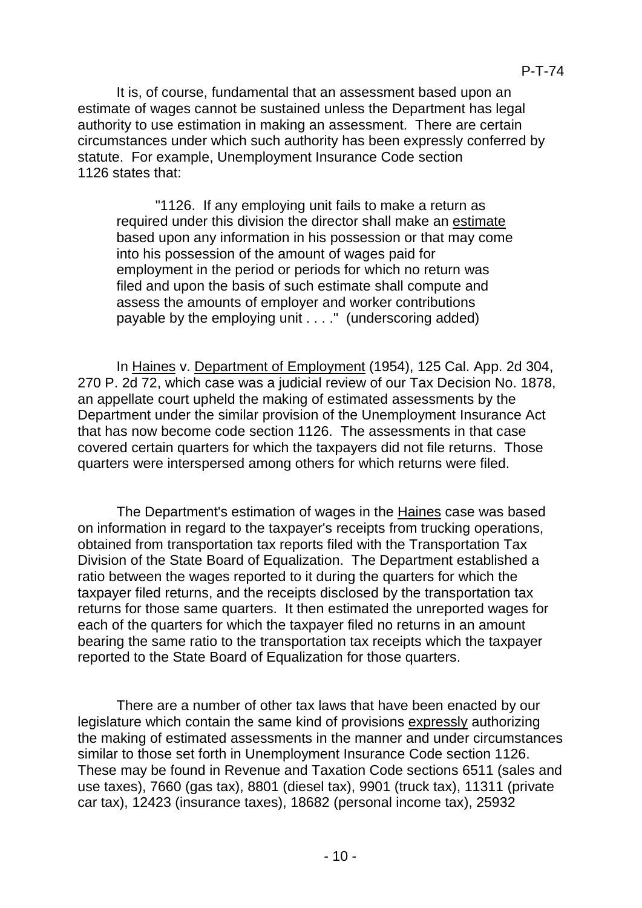It is, of course, fundamental that an assessment based upon an estimate of wages cannot be sustained unless the Department has legal authority to use estimation in making an assessment. There are certain circumstances under which such authority has been expressly conferred by statute. For example, Unemployment Insurance Code section 1126 states that:

"1126. If any employing unit fails to make a return as required under this division the director shall make an estimate based upon any information in his possession or that may come into his possession of the amount of wages paid for employment in the period or periods for which no return was filed and upon the basis of such estimate shall compute and assess the amounts of employer and worker contributions payable by the employing unit . . . ." (underscoring added)

In Haines v. Department of Employment (1954), 125 Cal. App. 2d 304, 270 P. 2d 72, which case was a judicial review of our Tax Decision No. 1878, an appellate court upheld the making of estimated assessments by the Department under the similar provision of the Unemployment Insurance Act that has now become code section 1126. The assessments in that case covered certain quarters for which the taxpayers did not file returns. Those quarters were interspersed among others for which returns were filed.

The Department's estimation of wages in the **Haines** case was based on information in regard to the taxpayer's receipts from trucking operations, obtained from transportation tax reports filed with the Transportation Tax Division of the State Board of Equalization. The Department established a ratio between the wages reported to it during the quarters for which the taxpayer filed returns, and the receipts disclosed by the transportation tax returns for those same quarters. It then estimated the unreported wages for each of the quarters for which the taxpayer filed no returns in an amount bearing the same ratio to the transportation tax receipts which the taxpayer reported to the State Board of Equalization for those quarters.

There are a number of other tax laws that have been enacted by our legislature which contain the same kind of provisions expressly authorizing the making of estimated assessments in the manner and under circumstances similar to those set forth in Unemployment Insurance Code section 1126. These may be found in Revenue and Taxation Code sections 6511 (sales and use taxes), 7660 (gas tax), 8801 (diesel tax), 9901 (truck tax), 11311 (private car tax), 12423 (insurance taxes), 18682 (personal income tax), 25932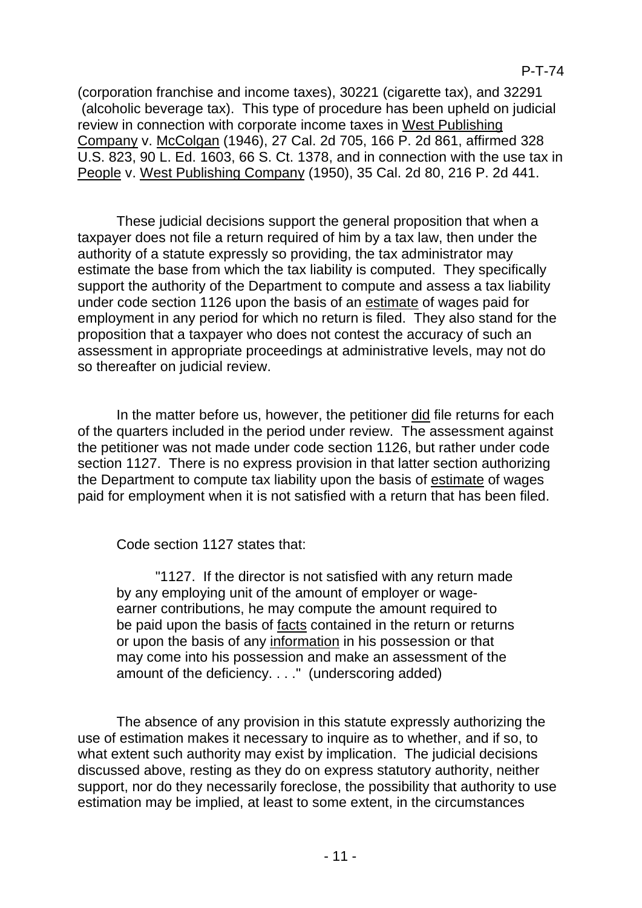(corporation franchise and income taxes), 30221 (cigarette tax), and 32291 (alcoholic beverage tax). This type of procedure has been upheld on judicial review in connection with corporate income taxes in West Publishing Company v. McColgan (1946), 27 Cal. 2d 705, 166 P. 2d 861, affirmed 328 U.S. 823, 90 L. Ed. 1603, 66 S. Ct. 1378, and in connection with the use tax in People v. West Publishing Company (1950), 35 Cal. 2d 80, 216 P. 2d 441.

These judicial decisions support the general proposition that when a taxpayer does not file a return required of him by a tax law, then under the authority of a statute expressly so providing, the tax administrator may estimate the base from which the tax liability is computed. They specifically support the authority of the Department to compute and assess a tax liability under code section 1126 upon the basis of an estimate of wages paid for employment in any period for which no return is filed. They also stand for the proposition that a taxpayer who does not contest the accuracy of such an assessment in appropriate proceedings at administrative levels, may not do so thereafter on judicial review.

In the matter before us, however, the petitioner did file returns for each of the quarters included in the period under review. The assessment against the petitioner was not made under code section 1126, but rather under code section 1127. There is no express provision in that latter section authorizing the Department to compute tax liability upon the basis of estimate of wages paid for employment when it is not satisfied with a return that has been filed.

Code section 1127 states that:

"1127. If the director is not satisfied with any return made by any employing unit of the amount of employer or wageearner contributions, he may compute the amount required to be paid upon the basis of facts contained in the return or returns or upon the basis of any information in his possession or that may come into his possession and make an assessment of the amount of the deficiency. . . ." (underscoring added)

The absence of any provision in this statute expressly authorizing the use of estimation makes it necessary to inquire as to whether, and if so, to what extent such authority may exist by implication. The judicial decisions discussed above, resting as they do on express statutory authority, neither support, nor do they necessarily foreclose, the possibility that authority to use estimation may be implied, at least to some extent, in the circumstances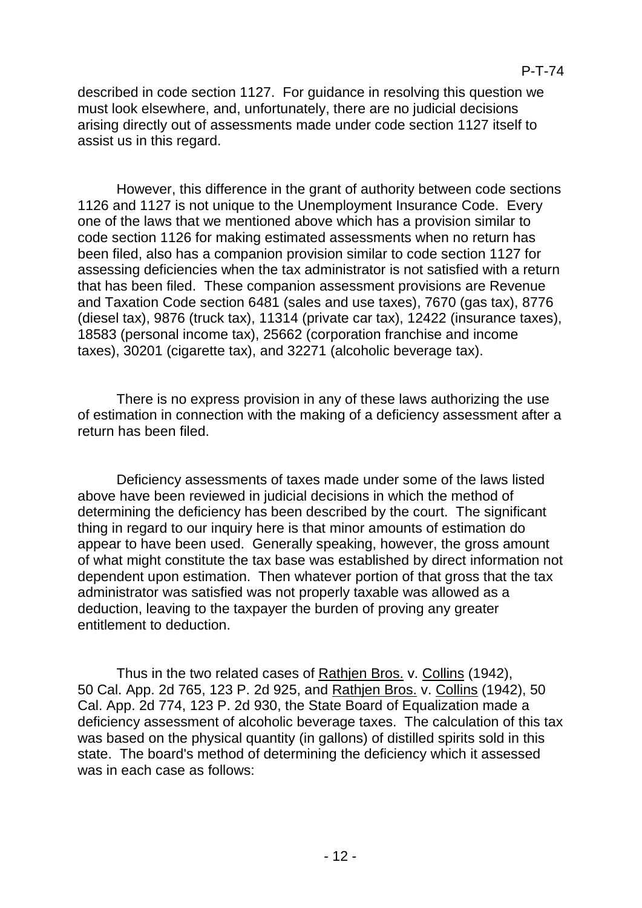described in code section 1127. For guidance in resolving this question we must look elsewhere, and, unfortunately, there are no judicial decisions arising directly out of assessments made under code section 1127 itself to assist us in this regard.

However, this difference in the grant of authority between code sections 1126 and 1127 is not unique to the Unemployment Insurance Code. Every one of the laws that we mentioned above which has a provision similar to code section 1126 for making estimated assessments when no return has been filed, also has a companion provision similar to code section 1127 for assessing deficiencies when the tax administrator is not satisfied with a return that has been filed. These companion assessment provisions are Revenue and Taxation Code section 6481 (sales and use taxes), 7670 (gas tax), 8776 (diesel tax), 9876 (truck tax), 11314 (private car tax), 12422 (insurance taxes), 18583 (personal income tax), 25662 (corporation franchise and income taxes), 30201 (cigarette tax), and 32271 (alcoholic beverage tax).

There is no express provision in any of these laws authorizing the use of estimation in connection with the making of a deficiency assessment after a return has been filed.

Deficiency assessments of taxes made under some of the laws listed above have been reviewed in judicial decisions in which the method of determining the deficiency has been described by the court. The significant thing in regard to our inquiry here is that minor amounts of estimation do appear to have been used. Generally speaking, however, the gross amount of what might constitute the tax base was established by direct information not dependent upon estimation. Then whatever portion of that gross that the tax administrator was satisfied was not properly taxable was allowed as a deduction, leaving to the taxpayer the burden of proving any greater entitlement to deduction.

Thus in the two related cases of Rathjen Bros. v. Collins (1942), 50 Cal. App. 2d 765, 123 P. 2d 925, and Rathjen Bros. v. Collins (1942), 50 Cal. App. 2d 774, 123 P. 2d 930, the State Board of Equalization made a deficiency assessment of alcoholic beverage taxes. The calculation of this tax was based on the physical quantity (in gallons) of distilled spirits sold in this state. The board's method of determining the deficiency which it assessed was in each case as follows: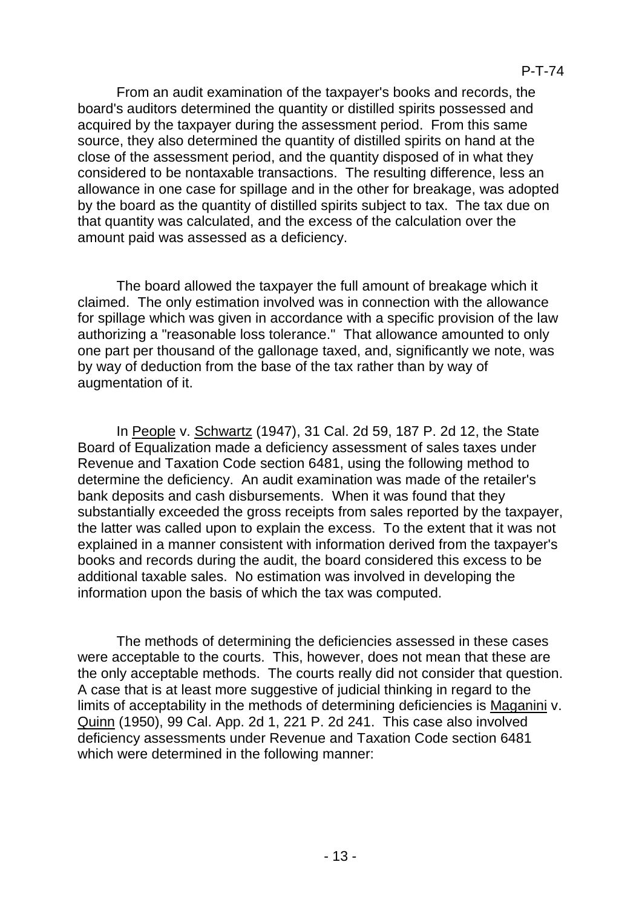From an audit examination of the taxpayer's books and records, the board's auditors determined the quantity or distilled spirits possessed and acquired by the taxpayer during the assessment period. From this same source, they also determined the quantity of distilled spirits on hand at the close of the assessment period, and the quantity disposed of in what they considered to be nontaxable transactions. The resulting difference, less an allowance in one case for spillage and in the other for breakage, was adopted by the board as the quantity of distilled spirits subject to tax. The tax due on that quantity was calculated, and the excess of the calculation over the amount paid was assessed as a deficiency.

The board allowed the taxpayer the full amount of breakage which it claimed. The only estimation involved was in connection with the allowance for spillage which was given in accordance with a specific provision of the law authorizing a "reasonable loss tolerance." That allowance amounted to only one part per thousand of the gallonage taxed, and, significantly we note, was by way of deduction from the base of the tax rather than by way of augmentation of it.

In People v. Schwartz (1947), 31 Cal. 2d 59, 187 P. 2d 12, the State Board of Equalization made a deficiency assessment of sales taxes under Revenue and Taxation Code section 6481, using the following method to determine the deficiency. An audit examination was made of the retailer's bank deposits and cash disbursements. When it was found that they substantially exceeded the gross receipts from sales reported by the taxpayer, the latter was called upon to explain the excess. To the extent that it was not explained in a manner consistent with information derived from the taxpayer's books and records during the audit, the board considered this excess to be additional taxable sales. No estimation was involved in developing the information upon the basis of which the tax was computed.

The methods of determining the deficiencies assessed in these cases were acceptable to the courts. This, however, does not mean that these are the only acceptable methods. The courts really did not consider that question. A case that is at least more suggestive of judicial thinking in regard to the limits of acceptability in the methods of determining deficiencies is Maganini v. Quinn (1950), 99 Cal. App. 2d 1, 221 P. 2d 241. This case also involved deficiency assessments under Revenue and Taxation Code section 6481 which were determined in the following manner: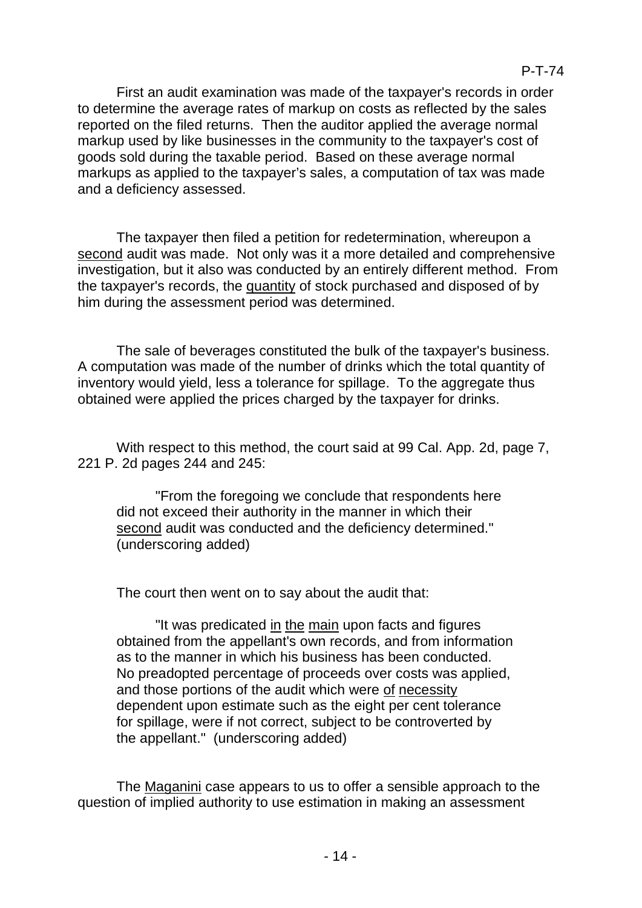First an audit examination was made of the taxpayer's records in order to determine the average rates of markup on costs as reflected by the sales reported on the filed returns. Then the auditor applied the average normal markup used by like businesses in the community to the taxpayer's cost of goods sold during the taxable period. Based on these average normal markups as applied to the taxpayer's sales, a computation of tax was made and a deficiency assessed.

The taxpayer then filed a petition for redetermination, whereupon a second audit was made. Not only was it a more detailed and comprehensive investigation, but it also was conducted by an entirely different method. From the taxpayer's records, the quantity of stock purchased and disposed of by him during the assessment period was determined.

The sale of beverages constituted the bulk of the taxpayer's business. A computation was made of the number of drinks which the total quantity of inventory would yield, less a tolerance for spillage. To the aggregate thus obtained were applied the prices charged by the taxpayer for drinks.

With respect to this method, the court said at 99 Cal. App. 2d, page 7, 221 P. 2d pages 244 and 245:

"From the foregoing we conclude that respondents here did not exceed their authority in the manner in which their second audit was conducted and the deficiency determined." (underscoring added)

The court then went on to say about the audit that:

"It was predicated in the main upon facts and figures obtained from the appellant's own records, and from information as to the manner in which his business has been conducted. No preadopted percentage of proceeds over costs was applied, and those portions of the audit which were of necessity dependent upon estimate such as the eight per cent tolerance for spillage, were if not correct, subject to be controverted by the appellant." (underscoring added)

The Maganini case appears to us to offer a sensible approach to the question of implied authority to use estimation in making an assessment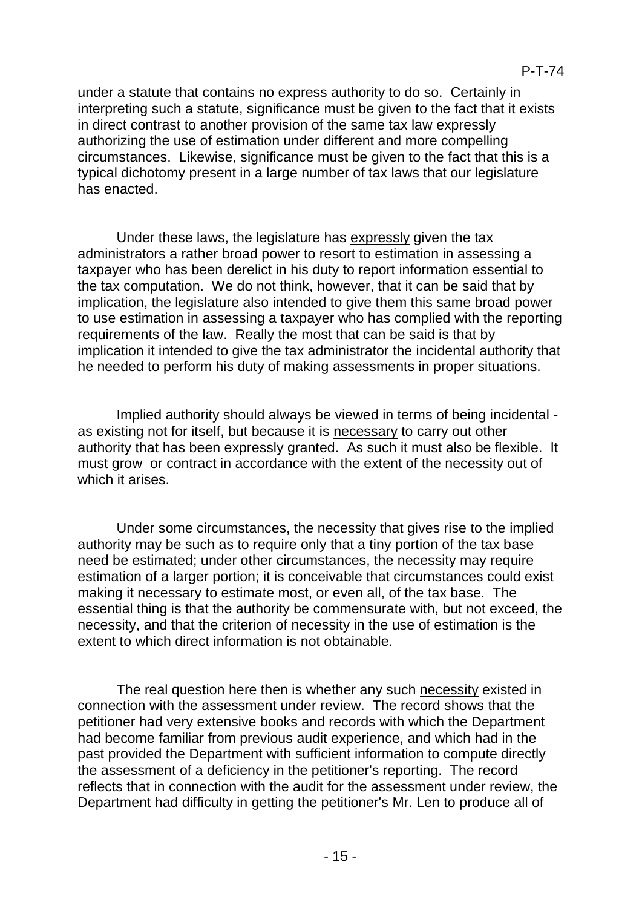under a statute that contains no express authority to do so. Certainly in interpreting such a statute, significance must be given to the fact that it exists in direct contrast to another provision of the same tax law expressly authorizing the use of estimation under different and more compelling circumstances. Likewise, significance must be given to the fact that this is a typical dichotomy present in a large number of tax laws that our legislature has enacted.

Under these laws, the legislature has expressly given the tax administrators a rather broad power to resort to estimation in assessing a taxpayer who has been derelict in his duty to report information essential to the tax computation. We do not think, however, that it can be said that by implication, the legislature also intended to give them this same broad power to use estimation in assessing a taxpayer who has complied with the reporting requirements of the law. Really the most that can be said is that by implication it intended to give the tax administrator the incidental authority that he needed to perform his duty of making assessments in proper situations.

Implied authority should always be viewed in terms of being incidental as existing not for itself, but because it is necessary to carry out other authority that has been expressly granted. As such it must also be flexible. It must grow or contract in accordance with the extent of the necessity out of which it arises.

Under some circumstances, the necessity that gives rise to the implied authority may be such as to require only that a tiny portion of the tax base need be estimated; under other circumstances, the necessity may require estimation of a larger portion; it is conceivable that circumstances could exist making it necessary to estimate most, or even all, of the tax base. The essential thing is that the authority be commensurate with, but not exceed, the necessity, and that the criterion of necessity in the use of estimation is the extent to which direct information is not obtainable.

The real question here then is whether any such necessity existed in connection with the assessment under review. The record shows that the petitioner had very extensive books and records with which the Department had become familiar from previous audit experience, and which had in the past provided the Department with sufficient information to compute directly the assessment of a deficiency in the petitioner's reporting. The record reflects that in connection with the audit for the assessment under review, the Department had difficulty in getting the petitioner's Mr. Len to produce all of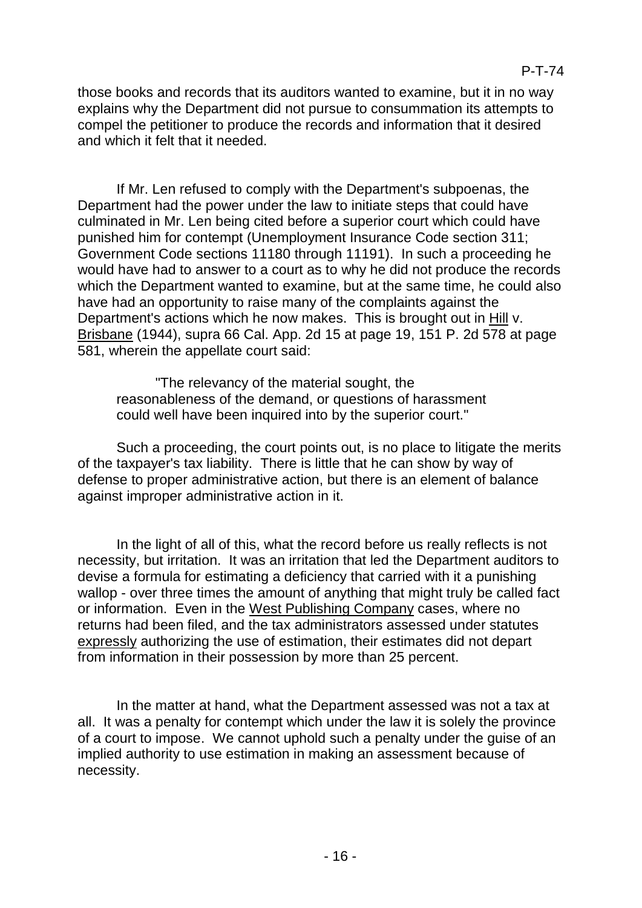those books and records that its auditors wanted to examine, but it in no way explains why the Department did not pursue to consummation its attempts to compel the petitioner to produce the records and information that it desired and which it felt that it needed.

If Mr. Len refused to comply with the Department's subpoenas, the Department had the power under the law to initiate steps that could have culminated in Mr. Len being cited before a superior court which could have punished him for contempt (Unemployment Insurance Code section 311; Government Code sections 11180 through 11191). In such a proceeding he would have had to answer to a court as to why he did not produce the records which the Department wanted to examine, but at the same time, he could also have had an opportunity to raise many of the complaints against the Department's actions which he now makes. This is brought out in Hill v. Brisbane (1944), supra 66 Cal. App. 2d 15 at page 19, 151 P. 2d 578 at page 581, wherein the appellate court said:

"The relevancy of the material sought, the reasonableness of the demand, or questions of harassment could well have been inquired into by the superior court."

Such a proceeding, the court points out, is no place to litigate the merits of the taxpayer's tax liability. There is little that he can show by way of defense to proper administrative action, but there is an element of balance against improper administrative action in it.

In the light of all of this, what the record before us really reflects is not necessity, but irritation. It was an irritation that led the Department auditors to devise a formula for estimating a deficiency that carried with it a punishing wallop - over three times the amount of anything that might truly be called fact or information. Even in the West Publishing Company cases, where no returns had been filed, and the tax administrators assessed under statutes expressly authorizing the use of estimation, their estimates did not depart from information in their possession by more than 25 percent.

In the matter at hand, what the Department assessed was not a tax at all. It was a penalty for contempt which under the law it is solely the province of a court to impose. We cannot uphold such a penalty under the guise of an implied authority to use estimation in making an assessment because of necessity.